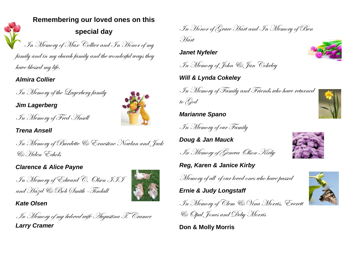### **Remembering our loved ones on this**

## **special day**

In Memory of Max Collier and In Honor of my family and in my church family and the wonderful ways they have blessed my life.

*Almira Collier*

In Memory of the Lagerberg family

In Memory of Fred Ansell

*Jim Lagerberg*



*Trena Ansell*

In Memory of Burdette & Ernestine Nowlan and Jack & Helen Echols

#### *Clarence & Alice Payne*

In Memory of Edward C. Olsen III and Hazel & Bob Smith -Tindall



*Kate Olsen*

In Memory of my beloved wife Augustina T. Cramer

*Larry Cramer*



*Janet Nyfeler*

In Memory of John & Jan Cokeley

*Will & Lynda Cokeley*

In Memory of Family and Friends who have returned to God

*Marianne Spano*

In Memory of our Family

*Doug & Jan Mauck*

In Memory of Geneva Olson Kirby

*Reg, Karen & Janice Kirby*

Memory of all of our loved ones who have passed

*Ernie & Judy Longstaff*

In Memory of Clem & Vina Morris, Everett & Opal Jones and Deby Morris

**Don & Molly Morris**